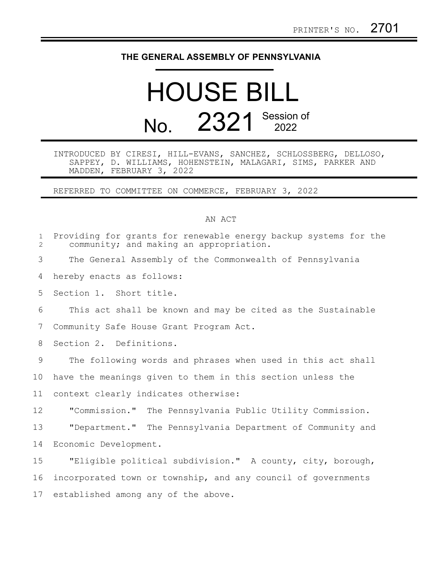## **THE GENERAL ASSEMBLY OF PENNSYLVANIA**

## HOUSE BILL No. 2321 Session of

## INTRODUCED BY CIRESI, HILL-EVANS, SANCHEZ, SCHLOSSBERG, DELLOSO, SAPPEY, D. WILLIAMS, HOHENSTEIN, MALAGARI, SIMS, PARKER AND MADDEN, FEBRUARY 3, 2022

REFERRED TO COMMITTEE ON COMMERCE, FEBRUARY 3, 2022

## AN ACT

| $\mathbf{1}$<br>$\overline{2}$ | Providing for grants for renewable energy backup systems for the<br>community; and making an appropriation. |
|--------------------------------|-------------------------------------------------------------------------------------------------------------|
| 3                              | The General Assembly of the Commonwealth of Pennsylvania                                                    |
| 4                              | hereby enacts as follows:                                                                                   |
| 5                              | Section 1. Short title.                                                                                     |
| 6                              | This act shall be known and may be cited as the Sustainable                                                 |
| 7                              | Community Safe House Grant Program Act.                                                                     |
| 8                              | Section 2. Definitions.                                                                                     |
| 9                              | The following words and phrases when used in this act shall                                                 |
| 10                             | have the meanings given to them in this section unless the                                                  |
| 11                             | context clearly indicates otherwise:                                                                        |
| 12                             | "Commission." The Pennsylvania Public Utility Commission.                                                   |
| 13                             | "Department." The Pennsylvania Department of Community and                                                  |
| 14                             | Economic Development.                                                                                       |
| 15                             | "Eligible political subdivision." A county, city, borough,                                                  |
| 16                             | incorporated town or township, and any council of governments                                               |
| 17                             | established among any of the above.                                                                         |
|                                |                                                                                                             |
|                                |                                                                                                             |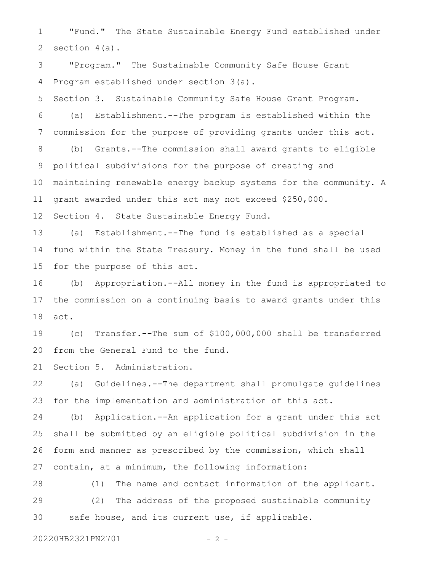"Fund." The State Sustainable Energy Fund established under section 4(a). 1 2

"Program." The Sustainable Community Safe House Grant Program established under section 3(a). 3 4

Section 3. Sustainable Community Safe House Grant Program. 5

(a) Establishment.--The program is established within the commission for the purpose of providing grants under this act. 6 7

(b) Grants.--The commission shall award grants to eligible political subdivisions for the purpose of creating and maintaining renewable energy backup systems for the community. A grant awarded under this act may not exceed \$250,000. 8 9 10 11

Section 4. State Sustainable Energy Fund. 12

(a) Establishment.--The fund is established as a special fund within the State Treasury. Money in the fund shall be used for the purpose of this act. 13 14 15

(b) Appropriation.--All money in the fund is appropriated to the commission on a continuing basis to award grants under this act. 16 17 18

(c) Transfer.--The sum of \$100,000,000 shall be transferred from the General Fund to the fund. 19 20

Section 5. Administration. 21

(a) Guidelines.--The department shall promulgate guidelines for the implementation and administration of this act. 22 23

(b) Application.--An application for a grant under this act shall be submitted by an eligible political subdivision in the form and manner as prescribed by the commission, which shall contain, at a minimum, the following information: 24 25 26 27

(1) The name and contact information of the applicant. (2) The address of the proposed sustainable community safe house, and its current use, if applicable. 28 29 30

20220HB2321PN2701 - 2 -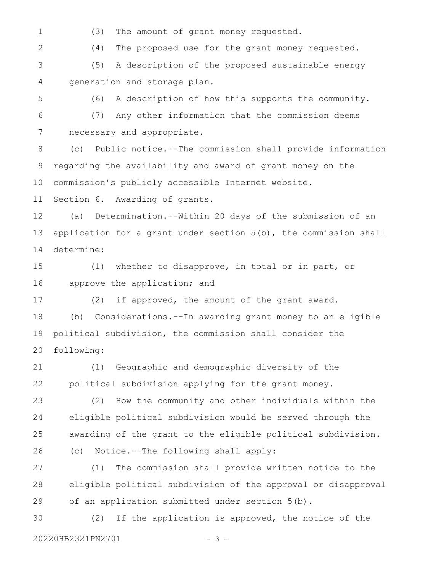1

(3) The amount of grant money requested.

2

(4) The proposed use for the grant money requested.

(5) A description of the proposed sustainable energy generation and storage plan. 3 4

5

(6) A description of how this supports the community.

(7) Any other information that the commission deems necessary and appropriate. 6 7

(c) Public notice.--The commission shall provide information regarding the availability and award of grant money on the commission's publicly accessible Internet website. 8 9 10

Section 6. Awarding of grants. 11

(a) Determination.--Within 20 days of the submission of an application for a grant under section 5(b), the commission shall determine: 12 13 14

(1) whether to disapprove, in total or in part, or approve the application; and 15 16

(2) if approved, the amount of the grant award. 17

(b) Considerations.--In awarding grant money to an eligible political subdivision, the commission shall consider the following: 18 19 20

(1) Geographic and demographic diversity of the political subdivision applying for the grant money. 21 22

(2) How the community and other individuals within the eligible political subdivision would be served through the awarding of the grant to the eligible political subdivision. (c) Notice.--The following shall apply: 23 24 25 26

(1) The commission shall provide written notice to the eligible political subdivision of the approval or disapproval of an application submitted under section 5(b). 27 28 29

(2) If the application is approved, the notice of the 20220HB2321PN2701 - 3 -30